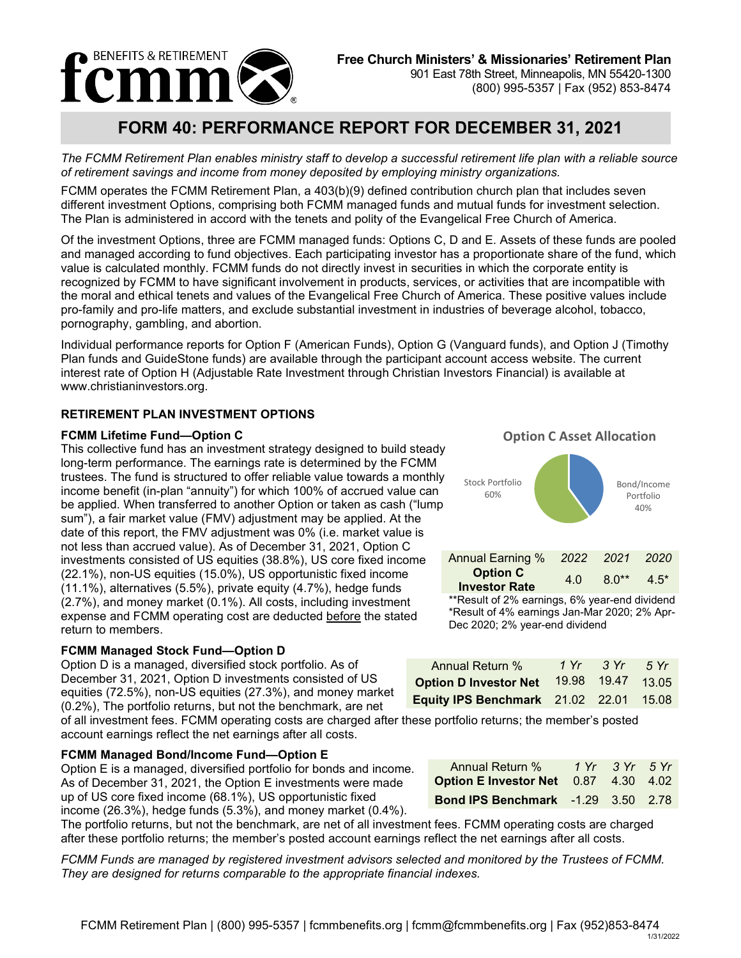

# **FORM 40: PERFORMANCE REPORT FOR DECEMBER 31, 2021**

*The FCMM Retirement Plan enables ministry staff to develop a successful retirement life plan with a reliable source of retirement savings and income from money deposited by employing ministry organizations.*

FCMM operates the FCMM Retirement Plan, a 403(b)(9) defined contribution church plan that includes seven different investment Options, comprising both FCMM managed funds and mutual funds for investment selection. The Plan is administered in accord with the tenets and polity of the Evangelical Free Church of America.

Of the investment Options, three are FCMM managed funds: Options C, D and E. Assets of these funds are pooled and managed according to fund objectives. Each participating investor has a proportionate share of the fund, which value is calculated monthly. FCMM funds do not directly invest in securities in which the corporate entity is recognized by FCMM to have significant involvement in products, services, or activities that are incompatible with the moral and ethical tenets and values of the Evangelical Free Church of America. These positive values include pro-family and pro-life matters, and exclude substantial investment in industries of beverage alcohol, tobacco, pornography, gambling, and abortion.

Individual performance reports for Option F (American Funds), Option G (Vanguard funds), and Option J (Timothy Plan funds and GuideStone funds) are available through the participant account access website. The current interest rate of Option H (Adjustable Rate Investment through Christian Investors Financial) is available at www.christianinvestors.org.

### **RETIREMENT PLAN INVESTMENT OPTIONS**

#### **FCMM Lifetime Fund—Option C**

This collective fund has an investment strategy designed to build steady long-term performance. The earnings rate is determined by the FCMM trustees. The fund is structured to offer reliable value towards a monthly income benefit (in-plan "annuity") for which 100% of accrued value can be applied. When transferred to another Option or taken as cash ("lump sum"), a fair market value (FMV) adjustment may be applied. At the date of this report, the FMV adjustment was 0% (i.e. market value is not less than accrued value). As of December 31, 2021, Option C investments consisted of US equities (38.8%), US core fixed income (22.1%), non-US equities (15.0%), US opportunistic fixed income (11.1%), alternatives (5.5%), private equity (4.7%), hedge funds (2.7%), and money market (0.1%). All costs, including investment expense and FCMM operating cost are deducted before the stated return to members.

#### **FCMM Managed Stock Fund—Option D**

Option D is a managed, diversified stock portfolio. As of December 31, 2021, Option D investments consisted of US equities (72.5%), non-US equities (27.3%), and money market (0.2%), The portfolio returns, but not the benchmark, are net

of all investment fees. FCMM operating costs are charged after these portfolio returns; the member's posted account earnings reflect the net earnings after all costs.

#### **FCMM Managed Bond/Income Fund—Option E**

Option E is a managed, diversified portfolio for bonds and income. As of December 31, 2021, the Option E investments were made up of US core fixed income (68.1%), US opportunistic fixed income (26.3%), hedge funds (5.3%), and money market (0.4%).

The portfolio returns, but not the benchmark, are net of all investment fees. FCMM operating costs are charged after these portfolio returns; the member's posted account earnings reflect the net earnings after all costs.

*FCMM Funds are managed by registered investment advisors selected and monitored by the Trustees of FCMM. They are designed for returns comparable to the appropriate financial indexes.*

*2016 2015* Portfolio **Option C Rate** Bond/Income 40% Stock Portfolio 60% **Option C Asset Allocation** Annual Earning % *2022 2021 2020* **Option C Investor Rate** 4.0 8.0\*\* 4.5\*

\*\*Result of 2% earnings, 6% year-end dividend \*Result of 4% earnings Jan-Mar 2020; 2% Apr-Dec 2020; 2% year-end dividend

| Annual Return %                               | 1 Yr 3 Yr   | $-5Yr$ |
|-----------------------------------------------|-------------|--------|
| <b>Option D Investor Net</b>                  | 19.98 19.47 | 13.05  |
| <b>Equity IPS Benchmark</b> 21.02 22.01 15.08 |             |        |

| <b>Annual Return %</b>                      | 1 Yr 3 Yr 5 Yr |  |
|---------------------------------------------|----------------|--|
| <b>Option E Investor Net</b> 0.87 4.30 4.02 |                |  |
| <b>Bond IPS Benchmark</b> -1.29 3.50 2.78   |                |  |